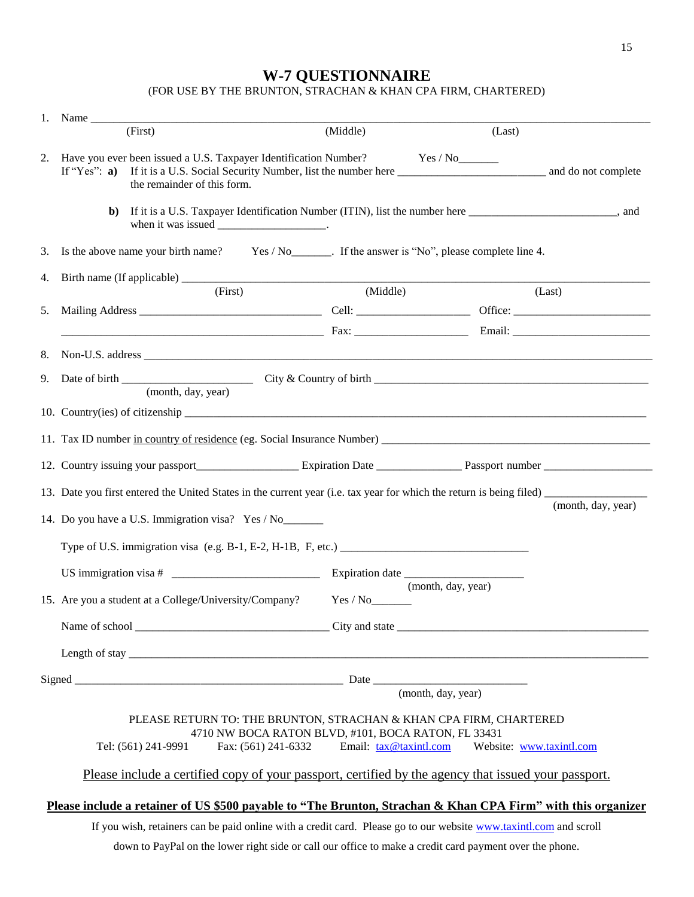## **W-7 QUESTIONNAIRE**

(FOR USE BY AMY VALENZUELA CPA)

| (First)<br>(Middle)<br>(Last)<br>2. Have you ever been issued a U.S. Taxpayer Identification Number? Yes / No                                                                                         |                    |
|-------------------------------------------------------------------------------------------------------------------------------------------------------------------------------------------------------|--------------------|
|                                                                                                                                                                                                       |                    |
| the remainder of this form.                                                                                                                                                                           |                    |
| If it is a U.S. Taxpayer Identification Number (ITIN), list the number here ___________________________, and<br>b)<br>when it was issued ___________________.                                         |                    |
| Is the above name your birth name? Yes / No ________. If the answer is "No", please complete line 4.<br>3.                                                                                            |                    |
| 4.<br>(First)<br>(Middle)                                                                                                                                                                             |                    |
| (Last)<br>5.                                                                                                                                                                                          |                    |
|                                                                                                                                                                                                       |                    |
| 8.                                                                                                                                                                                                    |                    |
| 9.                                                                                                                                                                                                    |                    |
| (month, day, year)                                                                                                                                                                                    |                    |
|                                                                                                                                                                                                       |                    |
|                                                                                                                                                                                                       |                    |
|                                                                                                                                                                                                       |                    |
|                                                                                                                                                                                                       |                    |
| 14. Do you have a U.S. Immigration visa? Yes / No_______                                                                                                                                              | (month, day, year) |
| Type of U.S. immigration visa (e.g. B-1, E-2, H-1B, F, etc.)                                                                                                                                          |                    |
|                                                                                                                                                                                                       |                    |
| (month, day, year)<br>15. Are you a student at a College/University/Company?                                                                                                                          |                    |
|                                                                                                                                                                                                       |                    |
|                                                                                                                                                                                                       |                    |
|                                                                                                                                                                                                       |                    |
|                                                                                                                                                                                                       |                    |
| PLEASE RETURN TO: AMY VALENZUELA CPA                                                                                                                                                                  |                    |
| BAERWALDSTRASSE 50, BERLIN, GERMANY 10961<br>Tel: +49(0)15739752105 Fax: +49(0) 305 477 4798 Email: info@alvcpa.com<br>Website: www.alvcpa.com                                                        |                    |
| Please include a certified copy of your passport, certified by the agency that issued your passport.                                                                                                  |                    |
|                                                                                                                                                                                                       |                    |
| Please include a retainer of US \$500 payable to "Amy Valenzuela CPA" with this organizer If you wish, retainers                                                                                      |                    |
| can be paid online with a credit card. Please go to our website www.taxintl.com and scroll<br>down to PayPal on the lower right side or call our office to make a credit card payment over the phone. |                    |